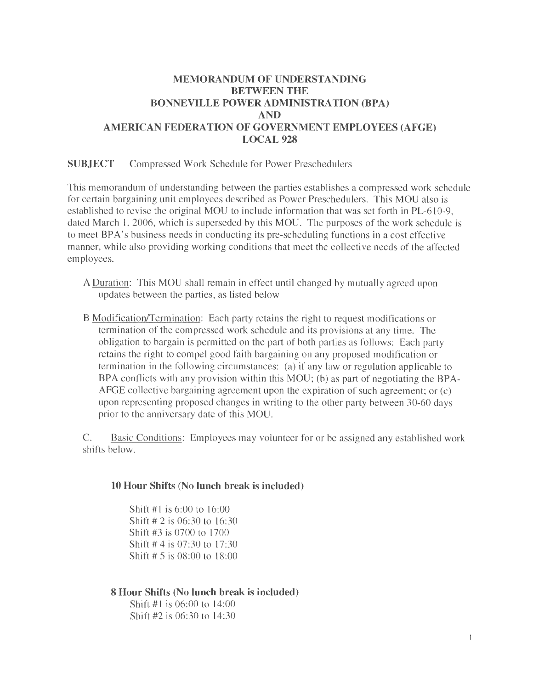# **MEMORANDUM OF UNDERSTANDING BETWEEN THE BONNEVILLE POWER ADMINISTRATION (BPA) AND AMERICAN FEDERATION OF GOVERNMENT EMPLOYEES (AFGE) LOCAL 928**

### **SUBJECT** Compressed Work Schedule for Power Preschedulers

This memorandum of understanding between the parties establishes a compressed work schedule for certain bargaining unit employees described as Power Preschedulers. This MOU also is established to revise the original MOU to include information that was set forth in PL-610-9, dated March 1, 2006, which is superseded by this MOU. The purposes of the work schedule is to meet BP A's business needs in conducting its pre-scheduling functions in a cost effective manner, while also providing working conditions that meet the collective needs of the affected employees.

- A Duration: This MOU shall remain in effect until changed by mutually agreed upon updates between the parties, as listed below
- B Modification/Termination: Each party retains the right to request modifications or termination of the compressed work schedule and its provisions at any time. The obligation to bargain is permitted on the part of both parties as follows: Each party retains the right to compel good faith bargaining on any proposed modification or termination in the following circumstances: (a) if any law or regulation applicable to BPA conflicts with any provision within this MOU; (b) as part of negotiating the BPA-AFGE collective bargaining agreement upon the expiration of such agreement; or (c) upon representing proposed changes in writing to the other party between 30-60 days prior to the anniversary date of this MOU.

C. Basic Conditions: Employees may volunteer for or be assigned any established work shifts below.

#### **10 Hour Shifts (No lunch break is included)**

Shift  $#1$  is 6:00 to  $16:00$ Shift # 2 is 06:30 to 16:30 Shift #3 is 0700 to 1700 Shift# 4 is 07:30 to 17:30 Shift# 5 is 08:00 to 18:00

### **8 Hour Shifts (No lunch break is included)**

Shift #1 is 06:00 to 14:00 Shift #2 is 06:30 to 14:30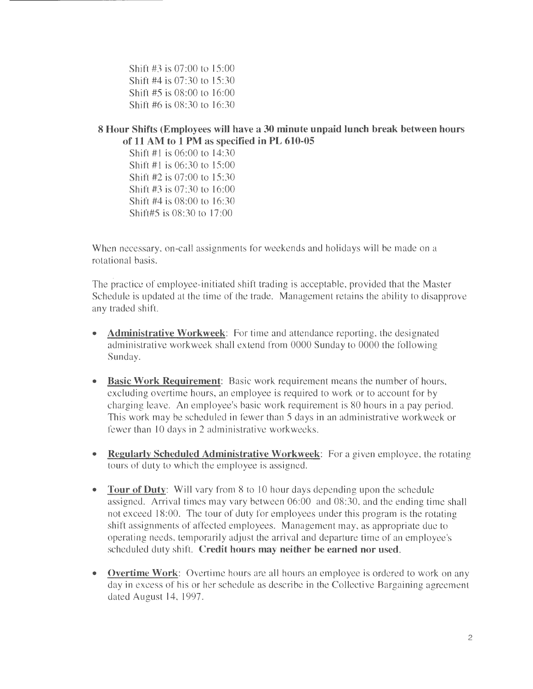Shift #3 is 07:00 to 15:00 Shift #4 is 07:30 to 15:30 Shift #5 is 08:00 to 16:00 Shift #6 is 08:30 to 16:30

## **8 Hour Shifts (Employees will have a 30 minute unpaid lunch break between hours of 11 AM to 1 PM as specified in PL 610-05**

Shift #1 is 06:00 to 14:30 Shift#1 is 06:30 to 15:00 Shift #2 is 07:00 to 15:30 Shift #3 is 07:30 to 16:00 Shift #4 is 08:00 to 16:30 Shift#5 is 08:30 to 17:00

When necessary, on-call assignments for weekends and holidays will be made on a rotational basis.

The practice of employee-initiated shift trading is acceptable, provided that the Master Schedule is updated at the time of the trade. Management retains the ability to disapprove any traded shift.

- **Administrative Workweek:** For time and attendance reporting, the designated administrative workweek shall extend from 0000 Sunday to 0000 the following Sunday.
- **Basic Work Requirement:** Basic work requirement means the number of hours, excluding overtime hours, an employee is required to work or to account for by charging leave. An employee's basic work requirement is 80 hours in a pay period. This work may be scheduled in fewer than 5 days in an administrative workweek or fewer than 10 days in 2 administrative workweeks.
- **Regularly Scheduled Administrative Workweek:** For a given employee, the rotating tours of duty to which the employee is assigned.
- **Tour of Duty:** Will vary from 8 to 10 hour days depending upon the schedule assigned. Arrival times may vary between 06:00 and 08:30, and the ending time shall not exceed 18:00. The tour of duty for employees under this program is the rotating shift assignments of affected employees. Management may, as appropriate due to operating needs, temporarily adjust the arrival and departure time of an employee's scheduled duty shift. **Credit hours may neither be earned nor used.**
- **Overtime Work:** Overtime hours are all hours an employee is ordered to work on any day in excess of his or her schedule as describe in the Collective Bargaining agreement dated August 14, 1997.